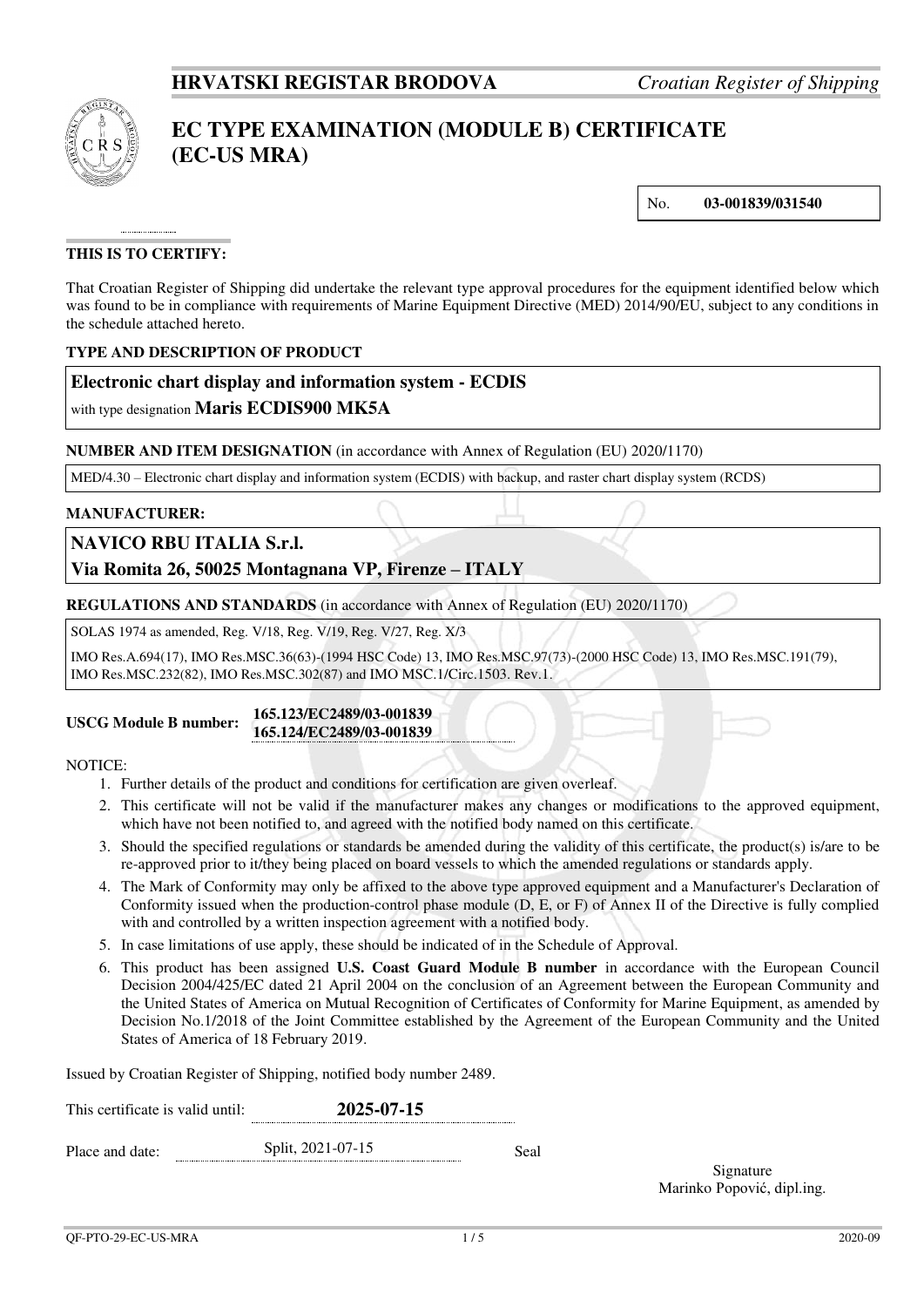

# **EC TYPE EXAMINATION (MODULE B) CERTIFICATE (EC-US MRA)**

No. **03-001839/031540**

# **THIS IS TO CERTIFY:**

That Croatian Register of Shipping did undertake the relevant type approval procedures for the equipment identified below which was found to be in compliance with requirements of Marine Equipment Directive (MED) 2014/90/EU, subject to any conditions in the schedule attached hereto.

## **TYPE AND DESCRIPTION OF PRODUCT**

## **Electronic chart display and information system - ECDIS**

with type designation **Maris ECDIS900 MK5A**

## **NUMBER AND ITEM DESIGNATION** (in accordance with Annex of Regulation (EU) 2020/1170)

MED/4.30 – Electronic chart display and information system (ECDIS) with backup, and raster chart display system (RCDS)

### **MANUFACTURER:**

## **NAVICO RBU ITALIA S.r.l.**

# **Via Romita 26, 50025 Montagnana VP, Firenze – ITALY**

**REGULATIONS AND STANDARDS** (in accordance with Annex of Regulation (EU) 2020/1170)

SOLAS 1974 as amended, Reg. V/18, Reg. V/19, Reg. V/27, Reg. X/3

IMO Res.A.694(17), IMO Res.MSC.36(63)-(1994 HSC Code) 13, IMO Res.MSC.97(73)-(2000 HSC Code) 13, IMO Res.MSC.191(79), IMO Res.MSC.232(82), IMO Res.MSC.302(87) and IMO MSC.1/Circ.1503. Rev.1.

#### **USCG Module B number: 165.123/EC2489/03-001839 165.124/EC2489/03-001839**

#### NOTICE:

- 1. Further details of the product and conditions for certification are given overleaf.
- 2. This certificate will not be valid if the manufacturer makes any changes or modifications to the approved equipment, which have not been notified to, and agreed with the notified body named on this certificate.
- 3. Should the specified regulations or standards be amended during the validity of this certificate, the product(s) is/are to be re-approved prior to it/they being placed on board vessels to which the amended regulations or standards apply.
- 4. The Mark of Conformity may only be affixed to the above type approved equipment and a Manufacturer's Declaration of Conformity issued when the production-control phase module (D, E, or F) of Annex II of the Directive is fully complied with and controlled by a written inspection agreement with a notified body.
- 5. In case limitations of use apply, these should be indicated of in the Schedule of Approval.
- 6. This product has been assigned **U.S. Coast Guard Module B number** in accordance with the European Council Decision 2004/425/EC dated 21 April 2004 on the conclusion of an Agreement between the European Community and the United States of America on Mutual Recognition of Certificates of Conformity for Marine Equipment, as amended by Decision No.1/2018 of the Joint Committee established by the Agreement of the European Community and the United States of America of 18 February 2019.

Issued by Croatian Register of Shipping, notified body number 2489.

| This certificate is valid until: |  | 2025-07-15        |      |
|----------------------------------|--|-------------------|------|
| Place and date:                  |  | Split, 2021-07-15 | Seal |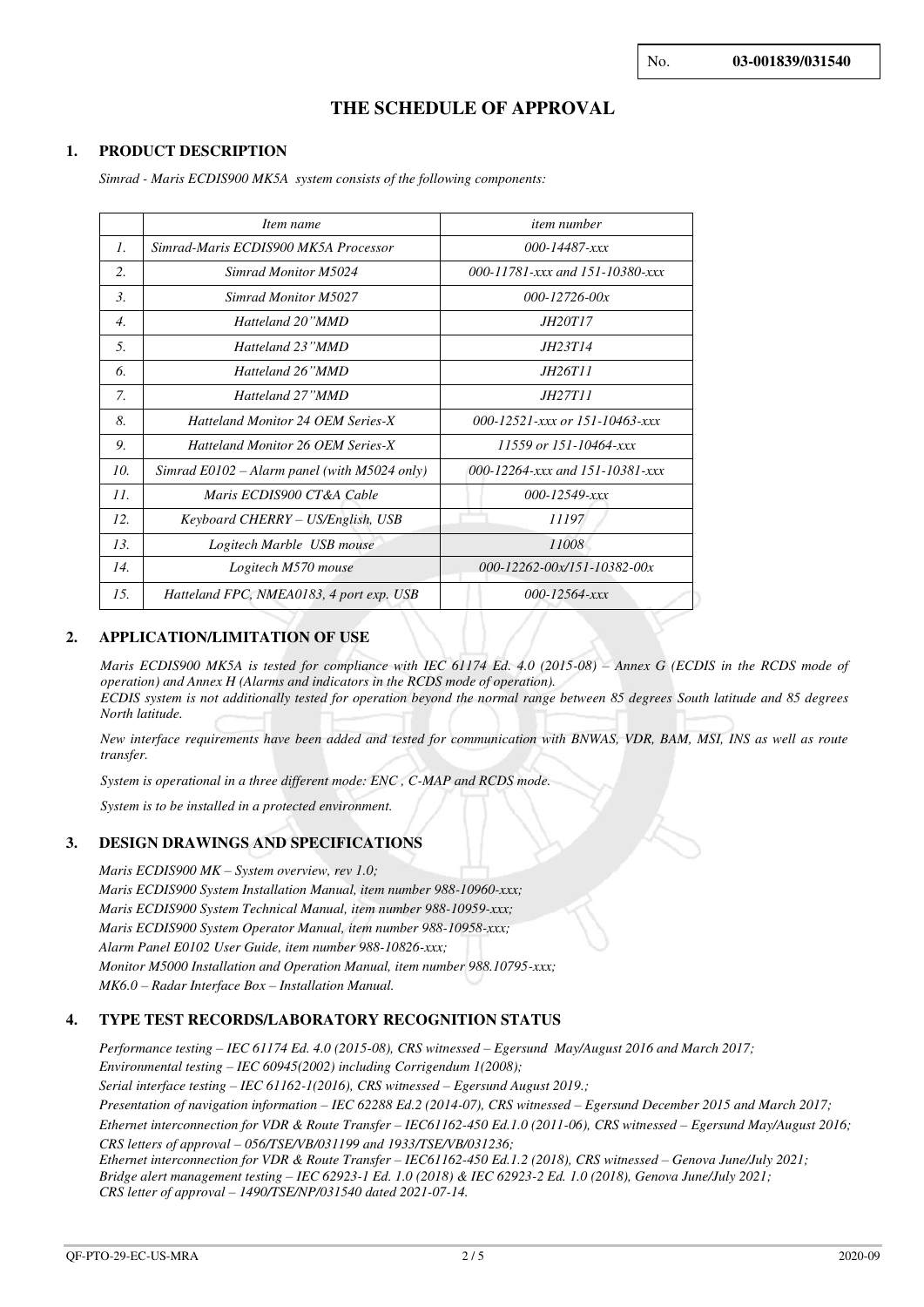# **THE SCHEDULE OF APPROVAL**

## **1. PRODUCT DESCRIPTION**

*Simrad - Maris ECDIS900 MK5A system consists of the following components:* 

|                  | Item name                                      | <i>item number</i>                                   |
|------------------|------------------------------------------------|------------------------------------------------------|
| 7.               | Simrad-Maris ECDIS900 MK5A Processor           | $000 - 14487 - xxx$                                  |
| 2.               | Simrad Monitor M5024                           | 000-11781-xxx and 151-10380-xxx                      |
| $\mathfrak{Z}$ . | Simrad Monitor M5027                           | $000 - 12726 - 00x$                                  |
| $\overline{4}$ . | Hatteland 20"MMD                               | <i>JH20T17</i>                                       |
| .5.              | Hatteland 23"MMD                               | <i>IH23T14</i>                                       |
| 6.               | Hatteland 26"MMD                               | <i>IH26T11</i>                                       |
| 7.               | Hatteland 27"MMD                               | <i>JH27T11</i>                                       |
| 8.               | <b>Hatteland Monitor 24 OEM Series-X</b>       | 000-12521- $\frac{x}{x}$ or 151-10463- $\frac{x}{x}$ |
| 9.               | <b>Hatteland Monitor 26 OEM Series-X</b>       | $11559$ or $151 - 10464 - xxx$                       |
| 10.              | Simrad $E0102 -$ Alarm panel (with M5024 only) | 000-12264-xxx and 151-10381-xxx                      |
| 11.              | Maris ECDIS900 CT&A Cable                      | $000 - 12549 - xxx$                                  |
| 12.              | Keyboard CHERRY – US/English, USB              | 11197                                                |
| 13.              | Logitech Marble USB mouse                      | 11008                                                |
| 14.              | Logitech M570 mouse                            | $000 - 12262 - 00x/151 - 10382 - 00x$                |
| 1.5.             | Hatteland FPC, NMEA0183, 4 port exp. USB       | $000 - 12564 - xxx$                                  |

### **2. APPLICATION/LIMITATION OF USE**

*Maris ECDIS900 MK5A is tested for compliance with IEC 61174 Ed. 4.0 (2015-08) - Annex G (ECDIS in the RCDS mode of operation) and Annex H (Alarms and indicators in the RCDS mode of operation). ECDIS system is not additionally tested for operation beyond the normal range between 85 degrees South latitude and 85 degrees North latitude.* 

*New interface requirements have been added and tested for communication with BNWAS, VDR, BAM, MSI, INS as well as route transfer.* 

*System is operational in a three different mode: ENC , C-MAP and RCDS mode.* 

*System is to be installed in a protected environment.* 

## **3. DESIGN DRAWINGS AND SPECIFICATIONS**

*Maris ECDIS900 MK – System overview, rev 1.0; Maris ECDIS900 System Installation Manual, item number 988-10960-xxx; Maris ECDIS900 System Technical Manual, item number 988-10959-xxx; Maris ECDIS900 System Operator Manual, item number 988-10958-xxx; Alarm Panel E0102 User Guide, item number 988-10826-xxx; Monitor M5000 Installation and Operation Manual, item number 988.10795-xxx; MK6.0 – Radar Interface Box – Installation Manual.* 

## **4. TYPE TEST RECORDS/LABORATORY RECOGNITION STATUS**

*Performance testing – IEC 61174 Ed. 4.0 (2015-08), CRS witnessed – Egersund May/August 2016 and March 2017; Environmental testing – IEC 60945(2002) including Corrigendum 1(2008); Serial interface testing – IEC 61162-1(2016), CRS witnessed – Egersund August 2019.;* 

*Presentation of navigation information – IEC 62288 Ed.2 (2014-07), CRS witnessed – Egersund December 2015 and March 2017; Ethernet interconnection for VDR & Route Transfer – IEC61162-450 Ed.1.0 (2011-06), CRS witnessed – Egersund May/August 2016; CRS letters of approval – 056/TSE/VB/031199 and 1933/TSE/VB/031236;* 

*Ethernet interconnection for VDR & Route Transfer – IEC61162-450 Ed.1.2 (2018), CRS witnessed – Genova June/July 2021; Bridge alert management testing – IEC 62923-1 Ed. 1.0 (2018) & IEC 62923-2 Ed. 1.0 (2018), Genova June/July 2021; CRS letter of approval – 1490/TSE/NP/031540 dated 2021-07-14.*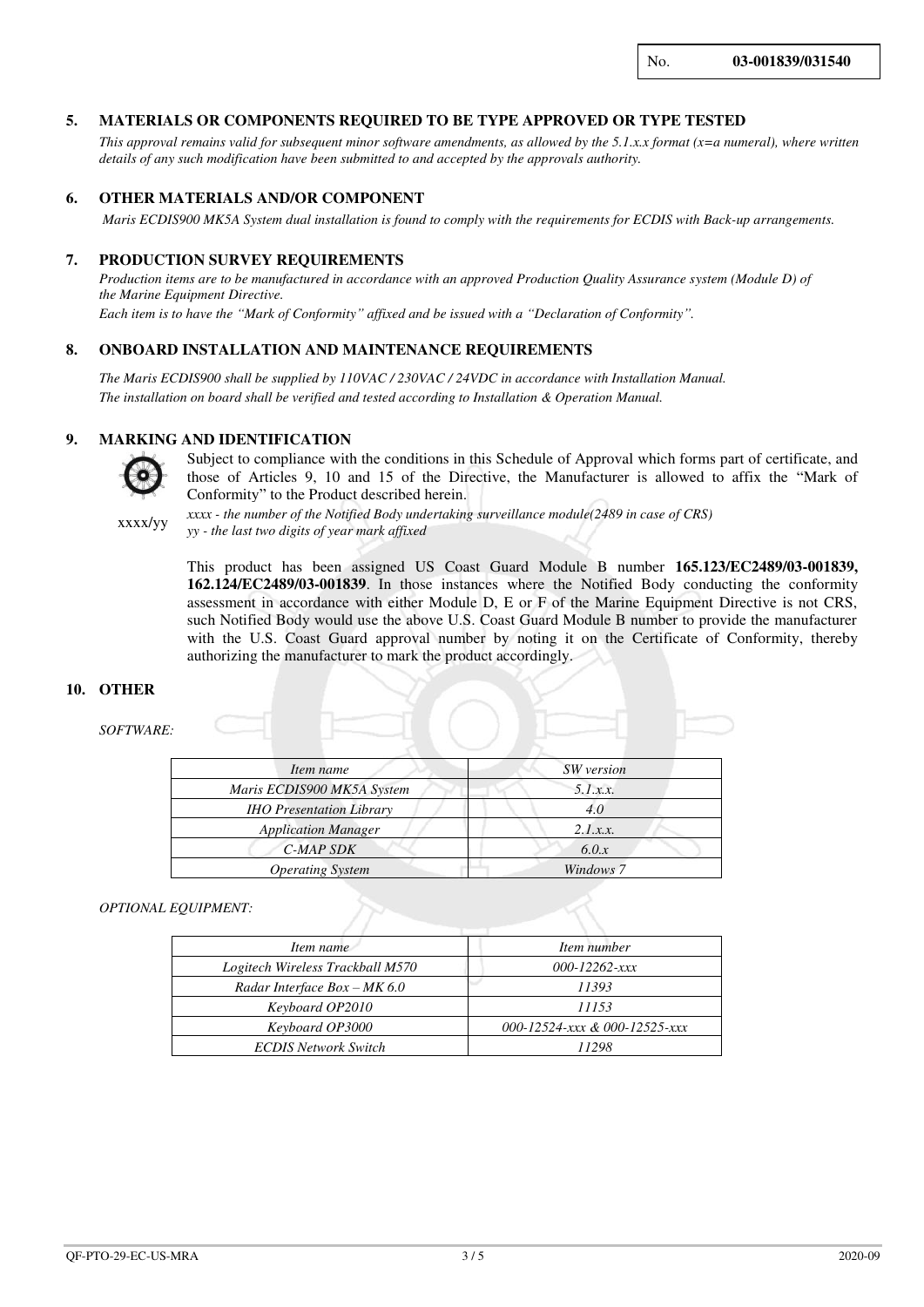No. **03-001839/031540**

#### **5. MATERIALS OR COMPONENTS REQUIRED TO BE TYPE APPROVED OR TYPE TESTED**

*This approval remains valid for subsequent minor software amendments, as allowed by the 5.1.x.x format (x=a numeral), where written details of any such modification have been submitted to and accepted by the approvals authority.*

## **6. OTHER MATERIALS AND/OR COMPONENT**

 *Maris ECDIS900 MK5A System dual installation is found to comply with the requirements for ECDIS with Back-up arrangements.*

#### **7. PRODUCTION SURVEY REQUIREMENTS**

*Production items are to be manufactured in accordance with an approved Production Quality Assurance system (Module D) of the Marine Equipment Directive. Each item is to have the "Mark of Conformity" affixed and be issued with a "Declaration of Conformity".*

### **8. ONBOARD INSTALLATION AND MAINTENANCE REQUIREMENTS**

*The Maris ECDIS900 shall be supplied by 110VAC / 230VAC / 24VDC in accordance with Installation Manual. The installation on board shall be verified and tested according to Installation & Operation Manual.*

#### **9. MARKING AND IDENTIFICATION**



Subject to compliance with the conditions in this Schedule of Approval which forms part of certificate, and those of Articles 9, 10 and 15 of the Directive, the Manufacturer is allowed to affix the "Mark of Conformity" to the Product described herein.

xxxx/yy

*xxxx - the number of the Notified Body undertaking surveillance module(2489 in case of CRS) yy - the last two digits of year mark affixed*

This product has been assigned US Coast Guard Module B number **165.123/EC2489/03-001839, 162.124/EC2489/03-001839**. In those instances where the Notified Body conducting the conformity assessment in accordance with either Module D, E or F of the Marine Equipment Directive is not CRS, such Notified Body would use the above U.S. Coast Guard Module B number to provide the manufacturer with the U.S. Coast Guard approval number by noting it on the Certificate of Conformity, thereby authorizing the manufacturer to mark the product accordingly.

#### **10. OTHER**

#### *SOFTWARE:*

| Item name                       | SW version |
|---------------------------------|------------|
| Maris ECDIS900 MK5A System      | 5.1.x.x.   |
| <b>IHO Presentation Library</b> |            |
| <b>Application Manager</b>      | 2.1.x.x.   |
| C-MAP SDK                       | 6.0.x      |
| <b>Operating System</b>         | Windows 7  |

#### *OPTIONAL EQUIPMENT:*

| Item name                        | Item number                   |
|----------------------------------|-------------------------------|
| Logitech Wireless Trackball M570 | 000-12262-xxx                 |
| Radar Interface $Box - MK 6.0$   | 11393                         |
| Keyboard OP2010                  | 11153                         |
| Keyboard OP3000                  | 000-12524-ххх & 000-12525-ххх |
| <b>ECDIS Network Switch</b>      | 11298                         |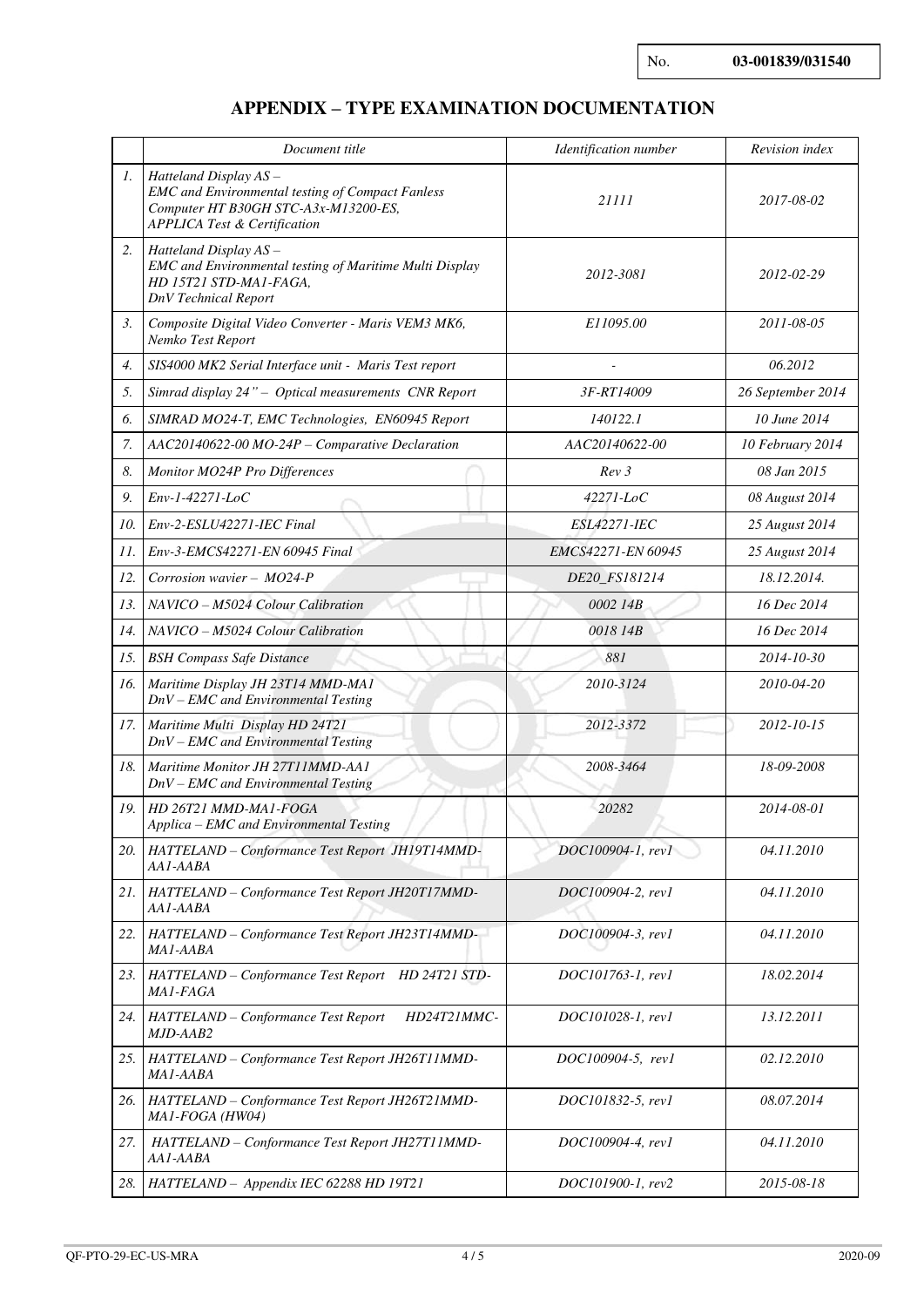# **APPENDIX – TYPE EXAMINATION DOCUMENTATION**

|     | Document title                                                                                                                                                      | Identification number | Revision index    |
|-----|---------------------------------------------------------------------------------------------------------------------------------------------------------------------|-----------------------|-------------------|
| 1.  | Hatteland Display AS-<br><b>EMC</b> and Environmental testing of Compact Fanless<br>Computer HT B30GH STC-A3x-M13200-ES,<br><b>APPLICA Test &amp; Certification</b> | 21111                 | 2017-08-02        |
| 2.  | Hatteland Display AS-<br>EMC and Environmental testing of Maritime Multi Display<br>HD 15T21 STD-MA1-FAGA,<br>DnV Technical Report                                  | 2012-3081             | 2012-02-29        |
| 3.  | Composite Digital Video Converter - Maris VEM3 MK6,<br>Nemko Test Report                                                                                            | E11095.00             | 2011-08-05        |
| 4.  | SIS4000 MK2 Serial Interface unit - Maris Test report                                                                                                               |                       | 06.2012           |
| 5.  | Simrad display 24" - Optical measurements CNR Report                                                                                                                | 3F-RT14009            | 26 September 2014 |
| 6.  | SIMRAD MO24-T, EMC Technologies, EN60945 Report                                                                                                                     | 140122.1              | 10 June 2014      |
| 7.  | AAC20140622-00 MO-24P - Comparative Declaration                                                                                                                     | AAC20140622-00        | 10 February 2014  |
| 8.  | Monitor MO24P Pro Differences                                                                                                                                       | Rev3                  | 08 Jan 2015       |
| 9.  | Env-1-42271-LoC                                                                                                                                                     | 42271-LoC             | 08 August 2014    |
| 10. | Env-2-ESLU42271-IEC Final                                                                                                                                           | ESL42271-IEC          | 25 August 2014    |
| 11. | Env-3-EMCS42271-EN 60945 Final                                                                                                                                      | EMCS42271-EN 60945    | 25 August 2014    |
| 12. | Corrosion wavier - MO24-P                                                                                                                                           | DE20_FS181214         | 18.12.2014.       |
| 13. | NAVICO - M5024 Colour Calibration                                                                                                                                   | 0002 14B              | 16 Dec 2014       |
| 14. | NAVICO - M5024 Colour Calibration                                                                                                                                   | 0018 14B              | 16 Dec 2014       |
| 15. | <b>BSH Compass Safe Distance</b>                                                                                                                                    | 881                   | 2014-10-30        |
| 16. | Maritime Display JH 23T14 MMD-MA1<br>$DnV - EMC$ and Environmental Testing                                                                                          | 2010-3124             | 2010-04-20        |
| 17. | Maritime Multi Display HD 24T21<br>$DnV - EMC$ and Environmental Testing                                                                                            | 2012-3372             | 2012-10-15        |
| 18. | Maritime Monitor JH 27T11MMD-AA1<br>$DnV - EMC$ and Environmental Testing                                                                                           | 2008-3464             | 18-09-2008        |
| 19. | HD 26T21 MMD-MA1-FOGA<br>Applica - EMC and Environmental Testing                                                                                                    | 20282                 | 2014-08-01        |
| 20. | HATTELAND - Conformance Test Report JH19T14MMD-<br>AA1-AABA                                                                                                         | DOC100904-1, rev1     | 04.11.2010        |
| 21. | HATTELAND - Conformance Test Report JH20T17MMD-<br>AA1-AABA                                                                                                         | DOC100904-2, rev1     | 04.11.2010        |
| 22. | HATTELAND - Conformance Test Report JH23T14MMD-<br>MA1-AABA                                                                                                         | DOC100904-3, rev1     | 04.11.2010        |
| 23. | HATTELAND - Conformance Test Report HD 24T21 STD-<br>MA1-FAGA                                                                                                       | DOC101763-1, rev1     | 18.02.2014        |
| 24. | HATTELAND - Conformance Test Report<br>HD24T21MMC-<br>MJD-AAB2                                                                                                      | DOC101028-1, rev1     | 13.12.2011        |
| 25. | HATTELAND - Conformance Test Report JH26T11MMD-<br>MA1-AABA                                                                                                         | DOC100904-5, rev1     | 02.12.2010        |
| 26. | HATTELAND - Conformance Test Report JH26T21MMD-<br>MA1-FOGA (HW04)                                                                                                  | DOC101832-5, rev1     | 08.07.2014        |
| 27. | HATTELAND - Conformance Test Report JH27T11MMD-<br>AA1-AABA                                                                                                         | DOC100904-4, rev1     | 04.11.2010        |
|     | 28. HATTELAND - Appendix IEC 62288 HD 19T21                                                                                                                         | DOC101900-1, rev2     | 2015-08-18        |